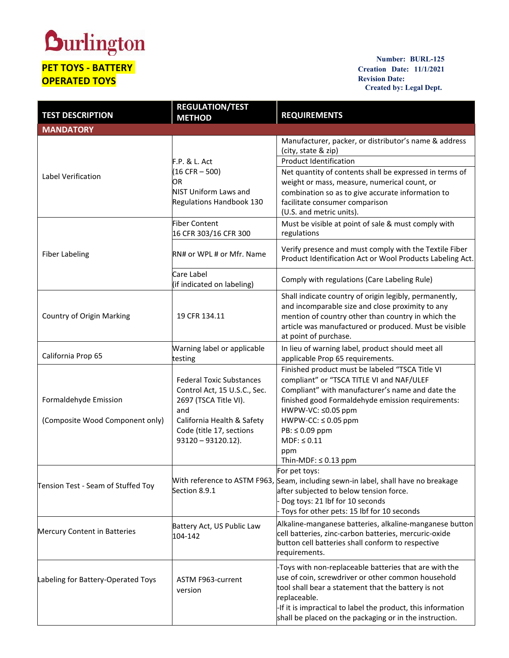## **Durlington**

## **PET TOYS - BATTERY OPERATED TOYS**

**Number: BURL-125 Creation Date: 11/1/2021 Revision Date: Created by: Legal Dept.**

| <b>TEST DESCRIPTION</b>                                  | <b>REGULATION/TEST</b><br><b>METHOD</b>                                                                                                                                            | <b>REQUIREMENTS</b>                                                                                                                                                                                                                                                                                                                         |
|----------------------------------------------------------|------------------------------------------------------------------------------------------------------------------------------------------------------------------------------------|---------------------------------------------------------------------------------------------------------------------------------------------------------------------------------------------------------------------------------------------------------------------------------------------------------------------------------------------|
| <b>MANDATORY</b>                                         |                                                                                                                                                                                    |                                                                                                                                                                                                                                                                                                                                             |
| Label Verification                                       | F.P. & L. Act<br>$(16$ CFR $-$ 500)<br>OR.<br><b>NIST Uniform Laws and</b><br><b>Regulations Handbook 130</b>                                                                      | Manufacturer, packer, or distributor's name & address<br>(city, state & zip)<br><b>Product Identification</b><br>Net quantity of contents shall be expressed in terms of<br>weight or mass, measure, numerical count, or<br>combination so as to give accurate information to<br>facilitate consumer comparison<br>(U.S. and metric units). |
| <b>Fiber Labeling</b>                                    | <b>Fiber Content</b><br>16 CFR 303/16 CFR 300                                                                                                                                      | Must be visible at point of sale & must comply with<br>regulations                                                                                                                                                                                                                                                                          |
|                                                          | RN# or WPL # or Mfr. Name                                                                                                                                                          | Verify presence and must comply with the Textile Fiber<br>Product Identification Act or Wool Products Labeling Act.                                                                                                                                                                                                                         |
|                                                          | Care Label<br>(if indicated on labeling)                                                                                                                                           | Comply with regulations (Care Labeling Rule)                                                                                                                                                                                                                                                                                                |
| Country of Origin Marking                                | 19 CFR 134.11                                                                                                                                                                      | Shall indicate country of origin legibly, permanently,<br>and incomparable size and close proximity to any<br>mention of country other than country in which the<br>article was manufactured or produced. Must be visible<br>at point of purchase.                                                                                          |
| California Prop 65                                       | Warning label or applicable<br>testing                                                                                                                                             | In lieu of warning label, product should meet all<br>applicable Prop 65 requirements.                                                                                                                                                                                                                                                       |
| Formaldehyde Emission<br>(Composite Wood Component only) | <b>Federal Toxic Substances</b><br>Control Act, 15 U.S.C., Sec.<br>2697 (TSCA Title VI).<br>and<br>California Health & Safety<br>Code (title 17, sections<br>$93120 - 93120.12$ ). | Finished product must be labeled "TSCA Title VI<br>compliant" or "TSCA TITLE VI and NAF/ULEF<br>Compliant" with manufacturer's name and date the<br>finished good Formaldehyde emission requirements:<br>HWPW-VC: ≤0.05 ppm<br>$HWPW-CC: \leq 0.05$ ppm<br>PB: ≤ 0.09 ppm<br>$MDF: \leq 0.11$<br>ppm<br>Thin-MDF: $\leq$ 0.13 ppm           |
| Tension Test - Seam of Stuffed Toy                       | Section 8.9.1                                                                                                                                                                      | For pet toys:<br>With reference to ASTM F963, Seam, including sewn-in label, shall have no breakage<br>after subjected to below tension force.<br>Dog toys: 21 lbf for 10 seconds<br>Toys for other pets: 15 lbf for 10 seconds                                                                                                             |
| Mercury Content in Batteries                             | Battery Act, US Public Law<br>104-142                                                                                                                                              | Alkaline-manganese batteries, alkaline-manganese button<br>cell batteries, zinc-carbon batteries, mercuric-oxide<br>button cell batteries shall conform to respective<br>requirements.                                                                                                                                                      |
| Labeling for Battery-Operated Toys                       | ASTM F963-current<br>version                                                                                                                                                       | -Toys with non-replaceable batteries that are with the<br>use of coin, screwdriver or other common household<br>tool shall bear a statement that the battery is not<br>replaceable.<br>-If it is impractical to label the product, this information<br>shall be placed on the packaging or in the instruction.                              |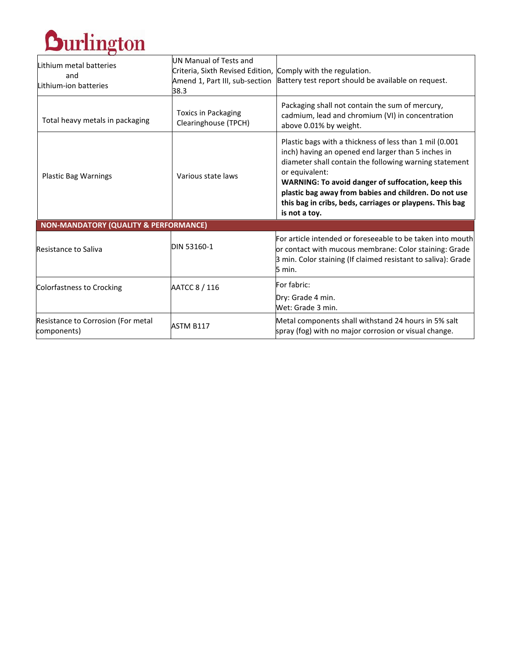

| Lithium metal batteries<br>and<br>Lithium-ion batteries | UN Manual of Tests and<br>Criteria, Sixth Revised Edition, Comply with the regulation.<br>Amend 1, Part III, sub-section<br>38.3 | Battery test report should be available on request.                                                                                                                                                                                                                                                                                                                                    |
|---------------------------------------------------------|----------------------------------------------------------------------------------------------------------------------------------|----------------------------------------------------------------------------------------------------------------------------------------------------------------------------------------------------------------------------------------------------------------------------------------------------------------------------------------------------------------------------------------|
| Total heavy metals in packaging                         | <b>Toxics in Packaging</b><br>Clearinghouse (TPCH)                                                                               | Packaging shall not contain the sum of mercury,<br>cadmium, lead and chromium (VI) in concentration<br>above 0.01% by weight.                                                                                                                                                                                                                                                          |
| <b>Plastic Bag Warnings</b>                             | Various state laws                                                                                                               | Plastic bags with a thickness of less than 1 mil (0.001)<br>inch) having an opened end larger than 5 inches in<br>diameter shall contain the following warning statement<br>or equivalent:<br>WARNING: To avoid danger of suffocation, keep this<br>plastic bag away from babies and children. Do not use<br>this bag in cribs, beds, carriages or playpens. This bag<br>is not a toy. |
| <b>NON-MANDATORY (QUALITY &amp; PERFORMANCE)</b>        |                                                                                                                                  |                                                                                                                                                                                                                                                                                                                                                                                        |
| <b>Resistance to Saliva</b>                             | DIN 53160-1                                                                                                                      | For article intended or foreseeable to be taken into mouth<br>or contact with mucous membrane: Color staining: Grade<br>3 min. Color staining (If claimed resistant to saliva): Grade<br>5 min.                                                                                                                                                                                        |
| Colorfastness to Crocking                               | AATCC 8 / 116                                                                                                                    | For fabric:<br>Dry: Grade 4 min.<br>Wet: Grade 3 min.                                                                                                                                                                                                                                                                                                                                  |
| Resistance to Corrosion (For metal<br>components)       | ASTM B117                                                                                                                        | Metal components shall withstand 24 hours in 5% salt<br>spray (fog) with no major corrosion or visual change.                                                                                                                                                                                                                                                                          |